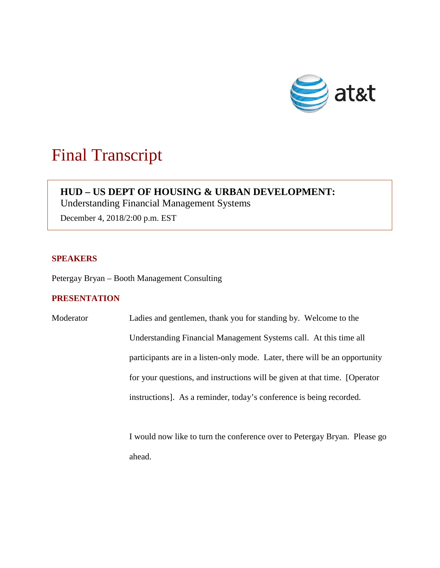

# Final Transcript

# **HUD – US DEPT OF HOUSING & URBAN DEVELOPMENT:**

Understanding Financial Management Systems

December 4, 2018/2:00 p.m. EST

# **SPEAKERS**

Petergay Bryan – Booth Management Consulting

## **PRESENTATION**

Moderator Ladies and gentlemen, thank you for standing by. Welcome to the Understanding Financial Management Systems call. At this time all participants are in a listen-only mode. Later, there will be an opportunity for your questions, and instructions will be given at that time. [Operator instructions]. As a reminder, today's conference is being recorded.

> I would now like to turn the conference over to Petergay Bryan. Please go ahead.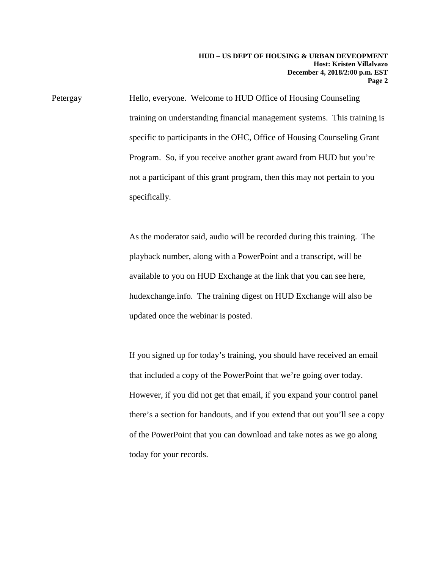Petergay Hello, everyone. Welcome to HUD Office of Housing Counseling training on understanding financial management systems. This training is specific to participants in the OHC, Office of Housing Counseling Grant Program. So, if you receive another grant award from HUD but you're not a participant of this grant program, then this may not pertain to you specifically.

> As the moderator said, audio will be recorded during this training. The playback number, along with a PowerPoint and a transcript, will be available to you on HUD Exchange at the link that you can see here, hudexchange.info. The training digest on HUD Exchange will also be updated once the webinar is posted.

If you signed up for today's training, you should have received an email that included a copy of the PowerPoint that we're going over today. However, if you did not get that email, if you expand your control panel there's a section for handouts, and if you extend that out you'll see a copy of the PowerPoint that you can download and take notes as we go along today for your records.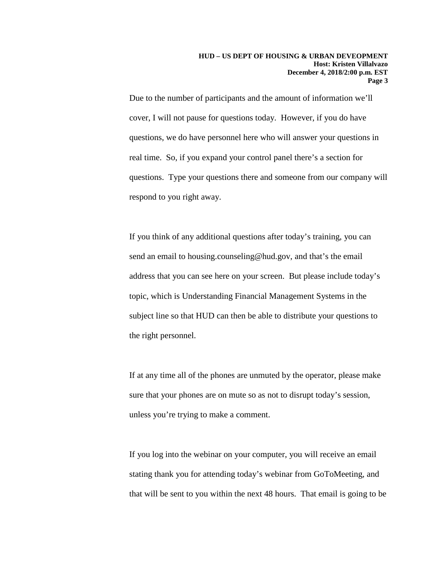Due to the number of participants and the amount of information we'll cover, I will not pause for questions today. However, if you do have questions, we do have personnel here who will answer your questions in real time. So, if you expand your control panel there's a section for questions. Type your questions there and someone from our company will respond to you right away.

If you think of any additional questions after today's training, you can send an email to housing.counseling@hud.gov, and that's the email address that you can see here on your screen. But please include today's topic, which is Understanding Financial Management Systems in the subject line so that HUD can then be able to distribute your questions to the right personnel.

If at any time all of the phones are unmuted by the operator, please make sure that your phones are on mute so as not to disrupt today's session, unless you're trying to make a comment.

If you log into the webinar on your computer, you will receive an email stating thank you for attending today's webinar from GoToMeeting, and that will be sent to you within the next 48 hours. That email is going to be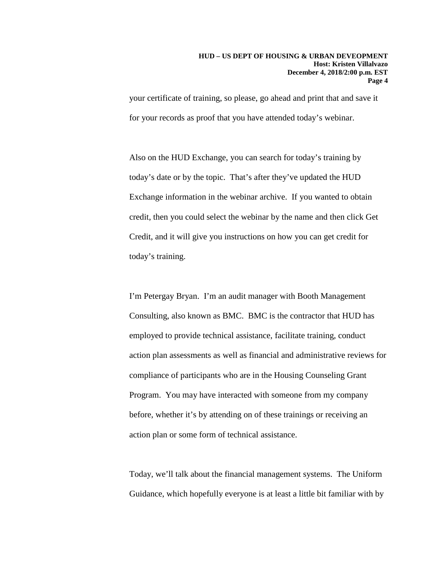your certificate of training, so please, go ahead and print that and save it for your records as proof that you have attended today's webinar.

Also on the HUD Exchange, you can search for today's training by today's date or by the topic. That's after they've updated the HUD Exchange information in the webinar archive. If you wanted to obtain credit, then you could select the webinar by the name and then click Get Credit, and it will give you instructions on how you can get credit for today's training.

I'm Petergay Bryan. I'm an audit manager with Booth Management Consulting, also known as BMC. BMC is the contractor that HUD has employed to provide technical assistance, facilitate training, conduct action plan assessments as well as financial and administrative reviews for compliance of participants who are in the Housing Counseling Grant Program. You may have interacted with someone from my company before, whether it's by attending on of these trainings or receiving an action plan or some form of technical assistance.

Today, we'll talk about the financial management systems. The Uniform Guidance, which hopefully everyone is at least a little bit familiar with by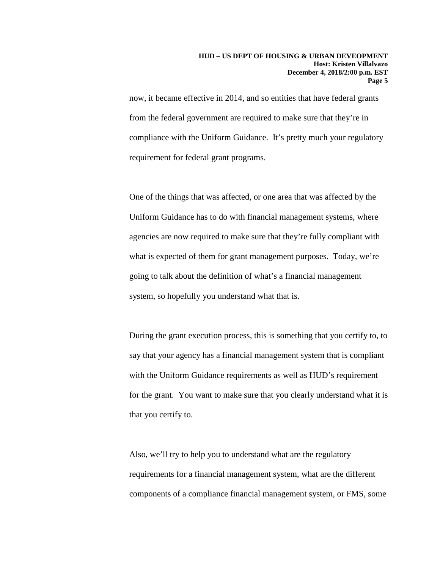now, it became effective in 2014, and so entities that have federal grants from the federal government are required to make sure that they're in compliance with the Uniform Guidance. It's pretty much your regulatory requirement for federal grant programs.

One of the things that was affected, or one area that was affected by the Uniform Guidance has to do with financial management systems, where agencies are now required to make sure that they're fully compliant with what is expected of them for grant management purposes. Today, we're going to talk about the definition of what's a financial management system, so hopefully you understand what that is.

During the grant execution process, this is something that you certify to, to say that your agency has a financial management system that is compliant with the Uniform Guidance requirements as well as HUD's requirement for the grant. You want to make sure that you clearly understand what it is that you certify to.

Also, we'll try to help you to understand what are the regulatory requirements for a financial management system, what are the different components of a compliance financial management system, or FMS, some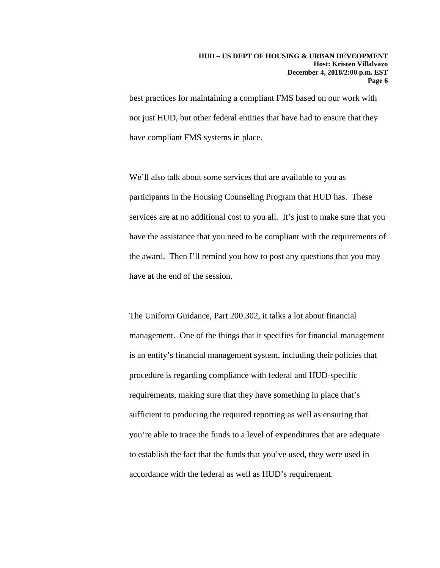best practices for maintaining a compliant FMS based on our work with not just HUD, but other federal entities that have had to ensure that they have compliant FMS systems in place.

We'll also talk about some services that are available to you as participants in the Housing Counseling Program that HUD has. These services are at no additional cost to you all. It's just to make sure that you have the assistance that you need to be compliant with the requirements of the award. Then I'll remind you how to post any questions that you may have at the end of the session.

The Uniform Guidance, Part 200.302, it talks a lot about financial management. One of the things that it specifies for financial management is an entity's financial management system, including their policies that procedure is regarding compliance with federal and HUD-specific requirements, making sure that they have something in place that's sufficient to producing the required reporting as well as ensuring that you're able to trace the funds to a level of expenditures that are adequate to establish the fact that the funds that you've used, they were used in accordance with the federal as well as HUD's requirement.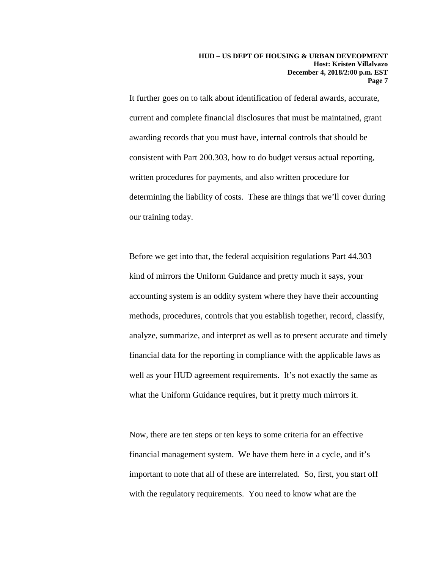It further goes on to talk about identification of federal awards, accurate, current and complete financial disclosures that must be maintained, grant awarding records that you must have, internal controls that should be consistent with Part 200.303, how to do budget versus actual reporting, written procedures for payments, and also written procedure for determining the liability of costs. These are things that we'll cover during our training today.

Before we get into that, the federal acquisition regulations Part 44.303 kind of mirrors the Uniform Guidance and pretty much it says, your accounting system is an oddity system where they have their accounting methods, procedures, controls that you establish together, record, classify, analyze, summarize, and interpret as well as to present accurate and timely financial data for the reporting in compliance with the applicable laws as well as your HUD agreement requirements. It's not exactly the same as what the Uniform Guidance requires, but it pretty much mirrors it.

Now, there are ten steps or ten keys to some criteria for an effective financial management system. We have them here in a cycle, and it's important to note that all of these are interrelated. So, first, you start off with the regulatory requirements. You need to know what are the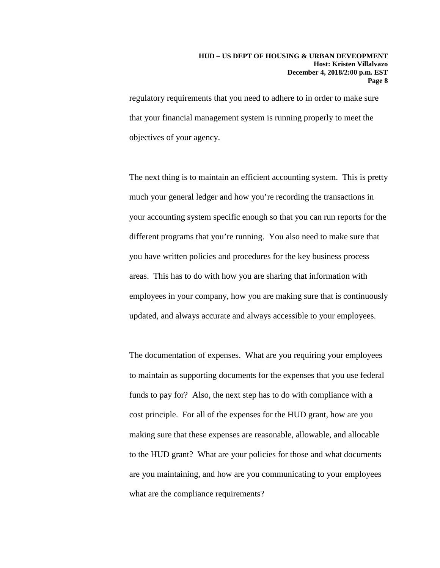### **HUD – US DEPT OF HOUSING & URBAN DEVEOPMENT Host: Kristen Villalvazo December 4, 2018/2:00 p.m. EST Page 8**

regulatory requirements that you need to adhere to in order to make sure that your financial management system is running properly to meet the objectives of your agency.

The next thing is to maintain an efficient accounting system. This is pretty much your general ledger and how you're recording the transactions in your accounting system specific enough so that you can run reports for the different programs that you're running. You also need to make sure that you have written policies and procedures for the key business process areas. This has to do with how you are sharing that information with employees in your company, how you are making sure that is continuously updated, and always accurate and always accessible to your employees.

The documentation of expenses. What are you requiring your employees to maintain as supporting documents for the expenses that you use federal funds to pay for? Also, the next step has to do with compliance with a cost principle. For all of the expenses for the HUD grant, how are you making sure that these expenses are reasonable, allowable, and allocable to the HUD grant? What are your policies for those and what documents are you maintaining, and how are you communicating to your employees what are the compliance requirements?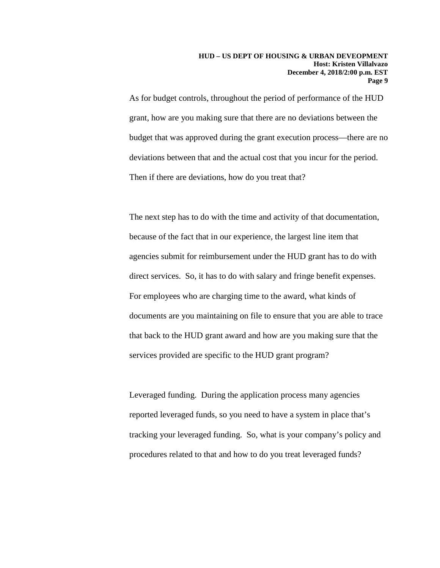As for budget controls, throughout the period of performance of the HUD grant, how are you making sure that there are no deviations between the budget that was approved during the grant execution process—there are no deviations between that and the actual cost that you incur for the period. Then if there are deviations, how do you treat that?

The next step has to do with the time and activity of that documentation, because of the fact that in our experience, the largest line item that agencies submit for reimbursement under the HUD grant has to do with direct services. So, it has to do with salary and fringe benefit expenses. For employees who are charging time to the award, what kinds of documents are you maintaining on file to ensure that you are able to trace that back to the HUD grant award and how are you making sure that the services provided are specific to the HUD grant program?

Leveraged funding. During the application process many agencies reported leveraged funds, so you need to have a system in place that's tracking your leveraged funding. So, what is your company's policy and procedures related to that and how to do you treat leveraged funds?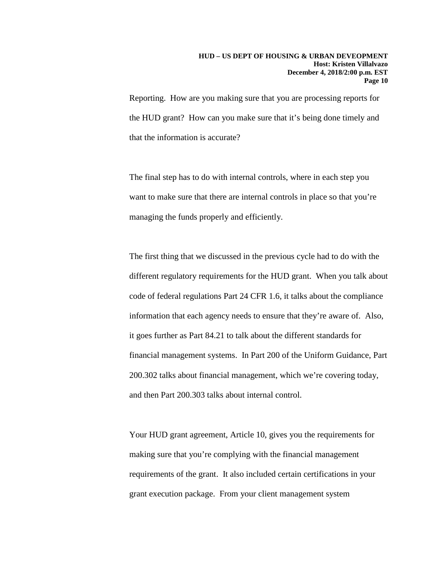Reporting. How are you making sure that you are processing reports for the HUD grant? How can you make sure that it's being done timely and that the information is accurate?

The final step has to do with internal controls, where in each step you want to make sure that there are internal controls in place so that you're managing the funds properly and efficiently.

The first thing that we discussed in the previous cycle had to do with the different regulatory requirements for the HUD grant. When you talk about code of federal regulations Part 24 CFR 1.6, it talks about the compliance information that each agency needs to ensure that they're aware of. Also, it goes further as Part 84.21 to talk about the different standards for financial management systems. In Part 200 of the Uniform Guidance, Part 200.302 talks about financial management, which we're covering today, and then Part 200.303 talks about internal control.

Your HUD grant agreement, Article 10, gives you the requirements for making sure that you're complying with the financial management requirements of the grant. It also included certain certifications in your grant execution package. From your client management system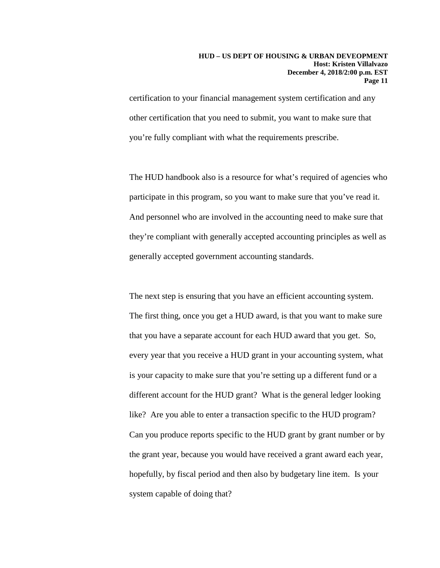certification to your financial management system certification and any other certification that you need to submit, you want to make sure that you're fully compliant with what the requirements prescribe.

The HUD handbook also is a resource for what's required of agencies who participate in this program, so you want to make sure that you've read it. And personnel who are involved in the accounting need to make sure that they're compliant with generally accepted accounting principles as well as generally accepted government accounting standards.

The next step is ensuring that you have an efficient accounting system. The first thing, once you get a HUD award, is that you want to make sure that you have a separate account for each HUD award that you get. So, every year that you receive a HUD grant in your accounting system, what is your capacity to make sure that you're setting up a different fund or a different account for the HUD grant? What is the general ledger looking like? Are you able to enter a transaction specific to the HUD program? Can you produce reports specific to the HUD grant by grant number or by the grant year, because you would have received a grant award each year, hopefully, by fiscal period and then also by budgetary line item. Is your system capable of doing that?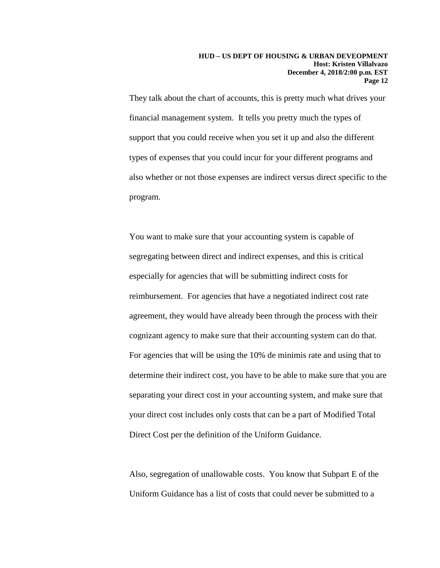They talk about the chart of accounts, this is pretty much what drives your financial management system. It tells you pretty much the types of support that you could receive when you set it up and also the different types of expenses that you could incur for your different programs and also whether or not those expenses are indirect versus direct specific to the program.

You want to make sure that your accounting system is capable of segregating between direct and indirect expenses, and this is critical especially for agencies that will be submitting indirect costs for reimbursement. For agencies that have a negotiated indirect cost rate agreement, they would have already been through the process with their cognizant agency to make sure that their accounting system can do that. For agencies that will be using the 10% de minimis rate and using that to determine their indirect cost, you have to be able to make sure that you are separating your direct cost in your accounting system, and make sure that your direct cost includes only costs that can be a part of Modified Total Direct Cost per the definition of the Uniform Guidance.

Also, segregation of unallowable costs. You know that Subpart E of the Uniform Guidance has a list of costs that could never be submitted to a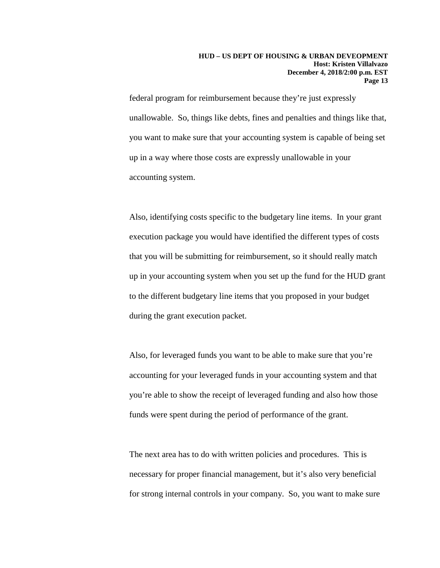federal program for reimbursement because they're just expressly unallowable. So, things like debts, fines and penalties and things like that, you want to make sure that your accounting system is capable of being set up in a way where those costs are expressly unallowable in your accounting system.

Also, identifying costs specific to the budgetary line items. In your grant execution package you would have identified the different types of costs that you will be submitting for reimbursement, so it should really match up in your accounting system when you set up the fund for the HUD grant to the different budgetary line items that you proposed in your budget during the grant execution packet.

Also, for leveraged funds you want to be able to make sure that you're accounting for your leveraged funds in your accounting system and that you're able to show the receipt of leveraged funding and also how those funds were spent during the period of performance of the grant.

The next area has to do with written policies and procedures. This is necessary for proper financial management, but it's also very beneficial for strong internal controls in your company. So, you want to make sure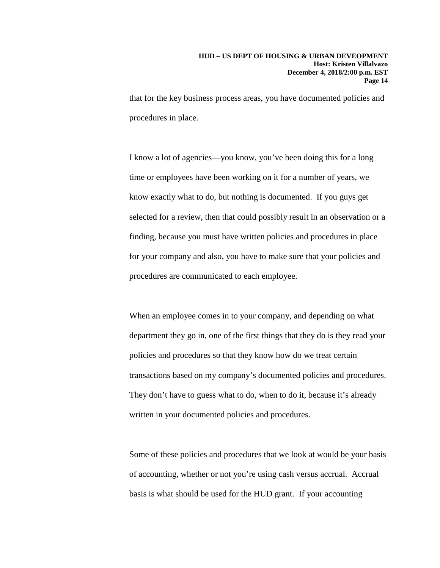that for the key business process areas, you have documented policies and procedures in place.

I know a lot of agencies—you know, you've been doing this for a long time or employees have been working on it for a number of years, we know exactly what to do, but nothing is documented. If you guys get selected for a review, then that could possibly result in an observation or a finding, because you must have written policies and procedures in place for your company and also, you have to make sure that your policies and procedures are communicated to each employee.

When an employee comes in to your company, and depending on what department they go in, one of the first things that they do is they read your policies and procedures so that they know how do we treat certain transactions based on my company's documented policies and procedures. They don't have to guess what to do, when to do it, because it's already written in your documented policies and procedures.

Some of these policies and procedures that we look at would be your basis of accounting, whether or not you're using cash versus accrual. Accrual basis is what should be used for the HUD grant. If your accounting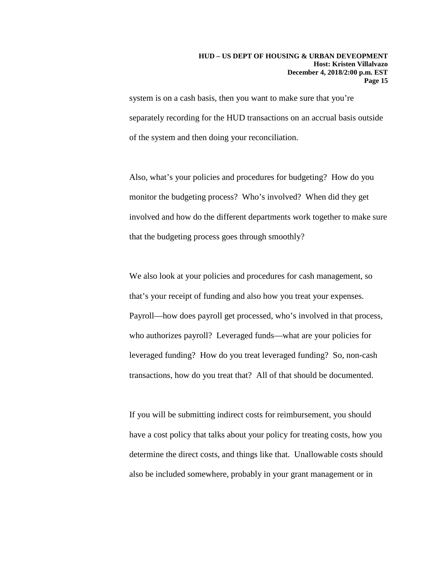### **HUD – US DEPT OF HOUSING & URBAN DEVEOPMENT Host: Kristen Villalvazo December 4, 2018/2:00 p.m. EST Page 15**

system is on a cash basis, then you want to make sure that you're separately recording for the HUD transactions on an accrual basis outside of the system and then doing your reconciliation.

Also, what's your policies and procedures for budgeting? How do you monitor the budgeting process? Who's involved? When did they get involved and how do the different departments work together to make sure that the budgeting process goes through smoothly?

We also look at your policies and procedures for cash management, so that's your receipt of funding and also how you treat your expenses. Payroll—how does payroll get processed, who's involved in that process, who authorizes payroll? Leveraged funds—what are your policies for leveraged funding? How do you treat leveraged funding? So, non-cash transactions, how do you treat that? All of that should be documented.

If you will be submitting indirect costs for reimbursement, you should have a cost policy that talks about your policy for treating costs, how you determine the direct costs, and things like that. Unallowable costs should also be included somewhere, probably in your grant management or in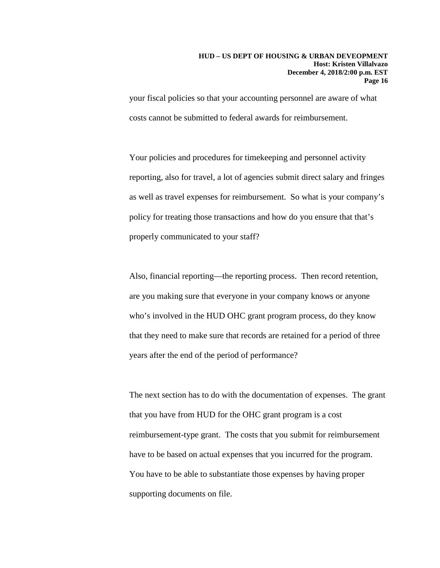your fiscal policies so that your accounting personnel are aware of what costs cannot be submitted to federal awards for reimbursement.

Your policies and procedures for timekeeping and personnel activity reporting, also for travel, a lot of agencies submit direct salary and fringes as well as travel expenses for reimbursement. So what is your company's policy for treating those transactions and how do you ensure that that's properly communicated to your staff?

Also, financial reporting—the reporting process. Then record retention, are you making sure that everyone in your company knows or anyone who's involved in the HUD OHC grant program process, do they know that they need to make sure that records are retained for a period of three years after the end of the period of performance?

The next section has to do with the documentation of expenses. The grant that you have from HUD for the OHC grant program is a cost reimbursement-type grant. The costs that you submit for reimbursement have to be based on actual expenses that you incurred for the program. You have to be able to substantiate those expenses by having proper supporting documents on file.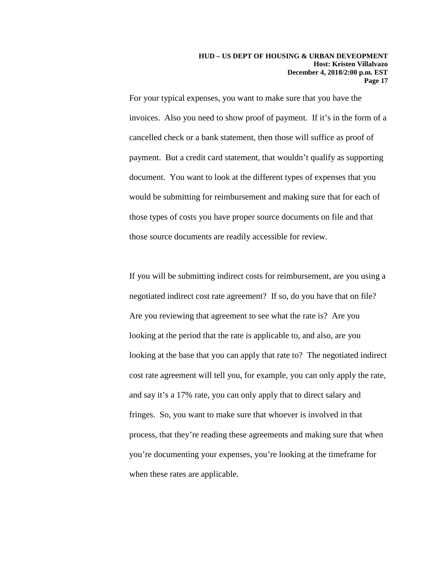For your typical expenses, you want to make sure that you have the invoices. Also you need to show proof of payment. If it's in the form of a cancelled check or a bank statement, then those will suffice as proof of payment. But a credit card statement, that wouldn't qualify as supporting document. You want to look at the different types of expenses that you would be submitting for reimbursement and making sure that for each of those types of costs you have proper source documents on file and that those source documents are readily accessible for review.

If you will be submitting indirect costs for reimbursement, are you using a negotiated indirect cost rate agreement? If so, do you have that on file? Are you reviewing that agreement to see what the rate is? Are you looking at the period that the rate is applicable to, and also, are you looking at the base that you can apply that rate to? The negotiated indirect cost rate agreement will tell you, for example, you can only apply the rate, and say it's a 17% rate, you can only apply that to direct salary and fringes. So, you want to make sure that whoever is involved in that process, that they're reading these agreements and making sure that when you're documenting your expenses, you're looking at the timeframe for when these rates are applicable.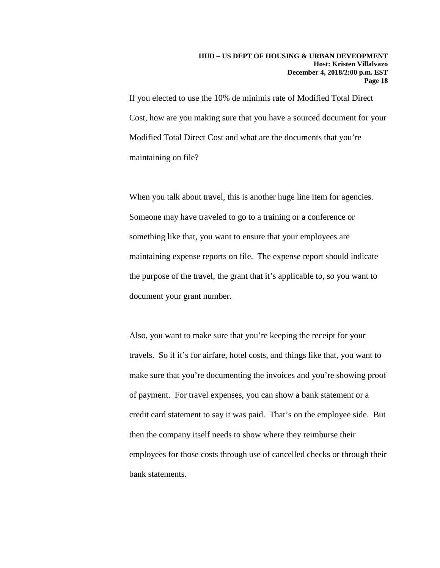If you elected to use the 10% de minimis rate of Modified Total Direct Cost, how are you making sure that you have a sourced document for your Modified Total Direct Cost and what are the documents that you're maintaining on file?

When you talk about travel, this is another huge line item for agencies. Someone may have traveled to go to a training or a conference or something like that, you want to ensure that your employees are maintaining expense reports on file. The expense report should indicate the purpose of the travel, the grant that it's applicable to, so you want to document your grant number.

Also, you want to make sure that you're keeping the receipt for your travels. So if it's for airfare, hotel costs, and things like that, you want to make sure that you're documenting the invoices and you're showing proof of payment. For travel expenses, you can show a bank statement or a credit card statement to say it was paid. That's on the employee side. But then the company itself needs to show where they reimburse their employees for those costs through use of cancelled checks or through their bank statements.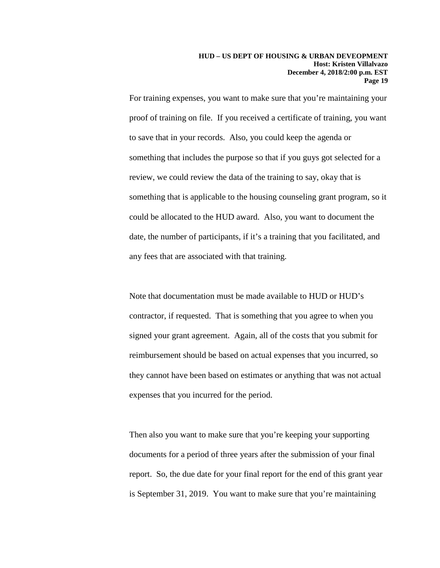For training expenses, you want to make sure that you're maintaining your proof of training on file. If you received a certificate of training, you want to save that in your records. Also, you could keep the agenda or something that includes the purpose so that if you guys got selected for a review, we could review the data of the training to say, okay that is something that is applicable to the housing counseling grant program, so it could be allocated to the HUD award. Also, you want to document the date, the number of participants, if it's a training that you facilitated, and any fees that are associated with that training.

Note that documentation must be made available to HUD or HUD's contractor, if requested. That is something that you agree to when you signed your grant agreement. Again, all of the costs that you submit for reimbursement should be based on actual expenses that you incurred, so they cannot have been based on estimates or anything that was not actual expenses that you incurred for the period.

Then also you want to make sure that you're keeping your supporting documents for a period of three years after the submission of your final report. So, the due date for your final report for the end of this grant year is September 31, 2019. You want to make sure that you're maintaining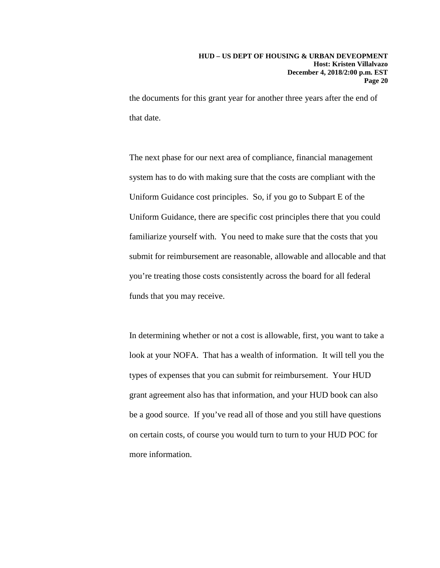the documents for this grant year for another three years after the end of that date.

The next phase for our next area of compliance, financial management system has to do with making sure that the costs are compliant with the Uniform Guidance cost principles. So, if you go to Subpart E of the Uniform Guidance, there are specific cost principles there that you could familiarize yourself with. You need to make sure that the costs that you submit for reimbursement are reasonable, allowable and allocable and that you're treating those costs consistently across the board for all federal funds that you may receive.

In determining whether or not a cost is allowable, first, you want to take a look at your NOFA. That has a wealth of information. It will tell you the types of expenses that you can submit for reimbursement. Your HUD grant agreement also has that information, and your HUD book can also be a good source. If you've read all of those and you still have questions on certain costs, of course you would turn to turn to your HUD POC for more information.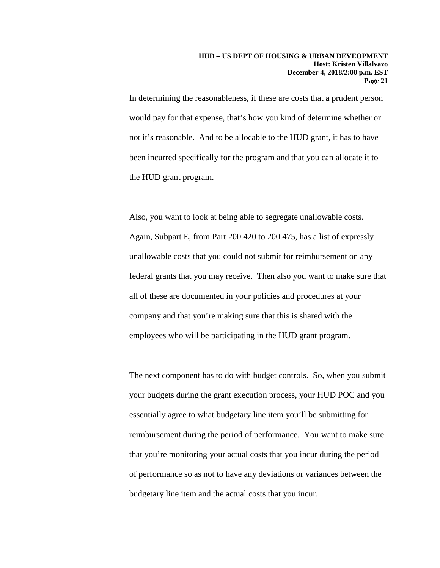In determining the reasonableness, if these are costs that a prudent person would pay for that expense, that's how you kind of determine whether or not it's reasonable. And to be allocable to the HUD grant, it has to have been incurred specifically for the program and that you can allocate it to the HUD grant program.

Also, you want to look at being able to segregate unallowable costs. Again, Subpart E, from Part 200.420 to 200.475, has a list of expressly unallowable costs that you could not submit for reimbursement on any federal grants that you may receive. Then also you want to make sure that all of these are documented in your policies and procedures at your company and that you're making sure that this is shared with the employees who will be participating in the HUD grant program.

The next component has to do with budget controls. So, when you submit your budgets during the grant execution process, your HUD POC and you essentially agree to what budgetary line item you'll be submitting for reimbursement during the period of performance. You want to make sure that you're monitoring your actual costs that you incur during the period of performance so as not to have any deviations or variances between the budgetary line item and the actual costs that you incur.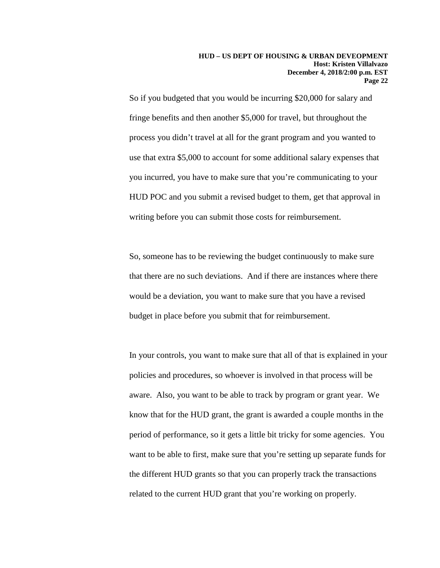So if you budgeted that you would be incurring \$20,000 for salary and fringe benefits and then another \$5,000 for travel, but throughout the process you didn't travel at all for the grant program and you wanted to use that extra \$5,000 to account for some additional salary expenses that you incurred, you have to make sure that you're communicating to your HUD POC and you submit a revised budget to them, get that approval in writing before you can submit those costs for reimbursement.

So, someone has to be reviewing the budget continuously to make sure that there are no such deviations. And if there are instances where there would be a deviation, you want to make sure that you have a revised budget in place before you submit that for reimbursement.

In your controls, you want to make sure that all of that is explained in your policies and procedures, so whoever is involved in that process will be aware. Also, you want to be able to track by program or grant year. We know that for the HUD grant, the grant is awarded a couple months in the period of performance, so it gets a little bit tricky for some agencies. You want to be able to first, make sure that you're setting up separate funds for the different HUD grants so that you can properly track the transactions related to the current HUD grant that you're working on properly.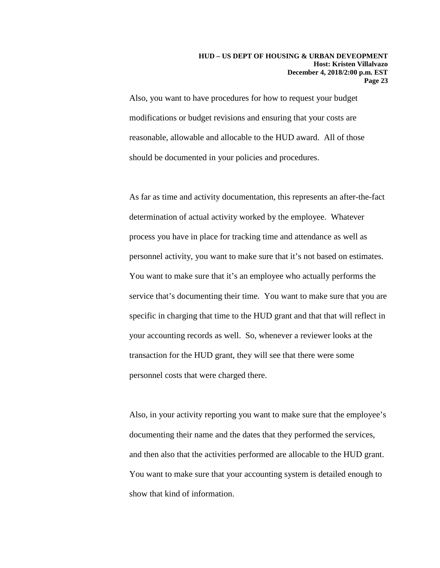Also, you want to have procedures for how to request your budget modifications or budget revisions and ensuring that your costs are reasonable, allowable and allocable to the HUD award. All of those should be documented in your policies and procedures.

As far as time and activity documentation, this represents an after-the-fact determination of actual activity worked by the employee. Whatever process you have in place for tracking time and attendance as well as personnel activity, you want to make sure that it's not based on estimates. You want to make sure that it's an employee who actually performs the service that's documenting their time. You want to make sure that you are specific in charging that time to the HUD grant and that that will reflect in your accounting records as well. So, whenever a reviewer looks at the transaction for the HUD grant, they will see that there were some personnel costs that were charged there.

Also, in your activity reporting you want to make sure that the employee's documenting their name and the dates that they performed the services, and then also that the activities performed are allocable to the HUD grant. You want to make sure that your accounting system is detailed enough to show that kind of information.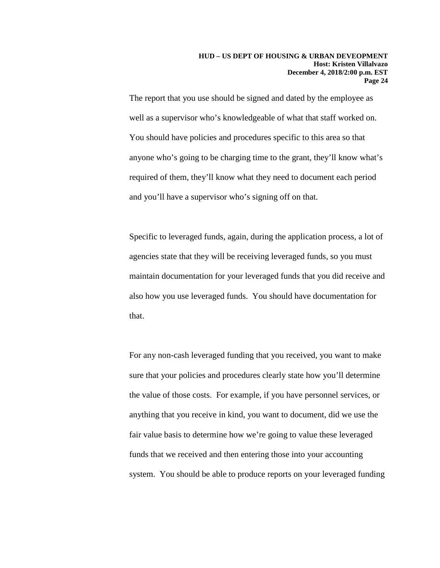The report that you use should be signed and dated by the employee as well as a supervisor who's knowledgeable of what that staff worked on. You should have policies and procedures specific to this area so that anyone who's going to be charging time to the grant, they'll know what's required of them, they'll know what they need to document each period and you'll have a supervisor who's signing off on that.

Specific to leveraged funds, again, during the application process, a lot of agencies state that they will be receiving leveraged funds, so you must maintain documentation for your leveraged funds that you did receive and also how you use leveraged funds. You should have documentation for that.

For any non-cash leveraged funding that you received, you want to make sure that your policies and procedures clearly state how you'll determine the value of those costs. For example, if you have personnel services, or anything that you receive in kind, you want to document, did we use the fair value basis to determine how we're going to value these leveraged funds that we received and then entering those into your accounting system. You should be able to produce reports on your leveraged funding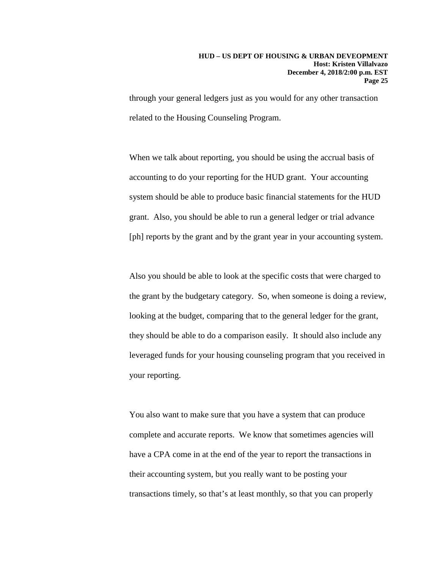through your general ledgers just as you would for any other transaction related to the Housing Counseling Program.

When we talk about reporting, you should be using the accrual basis of accounting to do your reporting for the HUD grant. Your accounting system should be able to produce basic financial statements for the HUD grant. Also, you should be able to run a general ledger or trial advance [ph] reports by the grant and by the grant year in your accounting system.

Also you should be able to look at the specific costs that were charged to the grant by the budgetary category. So, when someone is doing a review, looking at the budget, comparing that to the general ledger for the grant, they should be able to do a comparison easily. It should also include any leveraged funds for your housing counseling program that you received in your reporting.

You also want to make sure that you have a system that can produce complete and accurate reports. We know that sometimes agencies will have a CPA come in at the end of the year to report the transactions in their accounting system, but you really want to be posting your transactions timely, so that's at least monthly, so that you can properly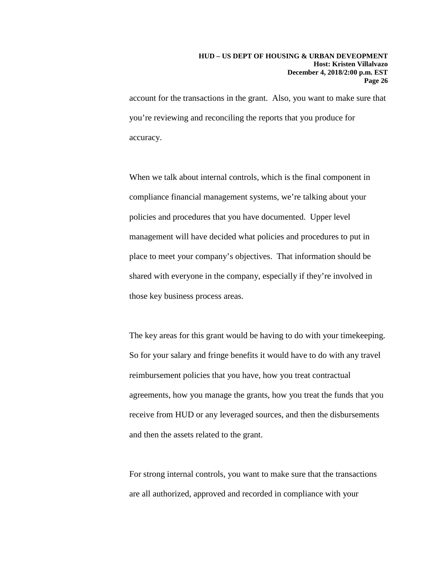account for the transactions in the grant. Also, you want to make sure that you're reviewing and reconciling the reports that you produce for accuracy.

When we talk about internal controls, which is the final component in compliance financial management systems, we're talking about your policies and procedures that you have documented. Upper level management will have decided what policies and procedures to put in place to meet your company's objectives. That information should be shared with everyone in the company, especially if they're involved in those key business process areas.

The key areas for this grant would be having to do with your timekeeping. So for your salary and fringe benefits it would have to do with any travel reimbursement policies that you have, how you treat contractual agreements, how you manage the grants, how you treat the funds that you receive from HUD or any leveraged sources, and then the disbursements and then the assets related to the grant.

For strong internal controls, you want to make sure that the transactions are all authorized, approved and recorded in compliance with your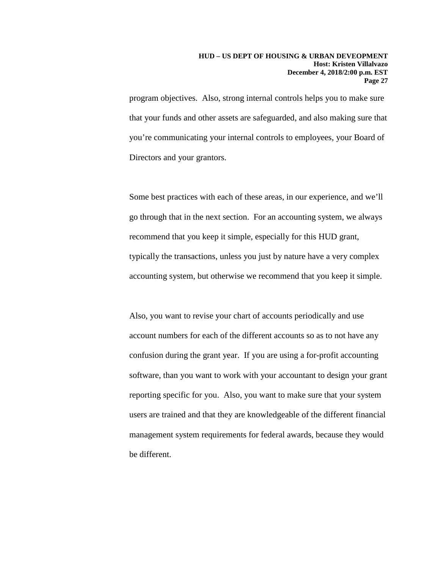### **HUD – US DEPT OF HOUSING & URBAN DEVEOPMENT Host: Kristen Villalvazo December 4, 2018/2:00 p.m. EST Page 27**

program objectives. Also, strong internal controls helps you to make sure that your funds and other assets are safeguarded, and also making sure that you're communicating your internal controls to employees, your Board of Directors and your grantors.

Some best practices with each of these areas, in our experience, and we'll go through that in the next section. For an accounting system, we always recommend that you keep it simple, especially for this HUD grant, typically the transactions, unless you just by nature have a very complex accounting system, but otherwise we recommend that you keep it simple.

Also, you want to revise your chart of accounts periodically and use account numbers for each of the different accounts so as to not have any confusion during the grant year. If you are using a for-profit accounting software, than you want to work with your accountant to design your grant reporting specific for you. Also, you want to make sure that your system users are trained and that they are knowledgeable of the different financial management system requirements for federal awards, because they would be different.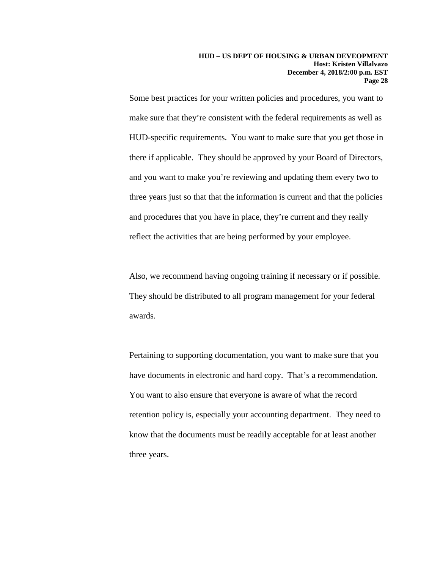Some best practices for your written policies and procedures, you want to make sure that they're consistent with the federal requirements as well as HUD-specific requirements. You want to make sure that you get those in there if applicable. They should be approved by your Board of Directors, and you want to make you're reviewing and updating them every two to three years just so that that the information is current and that the policies and procedures that you have in place, they're current and they really reflect the activities that are being performed by your employee.

Also, we recommend having ongoing training if necessary or if possible. They should be distributed to all program management for your federal awards.

Pertaining to supporting documentation, you want to make sure that you have documents in electronic and hard copy. That's a recommendation. You want to also ensure that everyone is aware of what the record retention policy is, especially your accounting department. They need to know that the documents must be readily acceptable for at least another three years.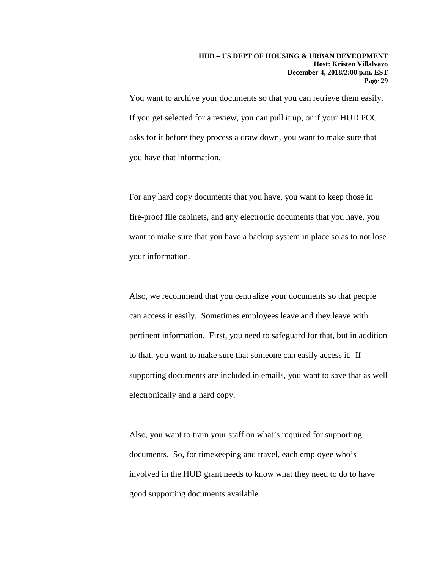You want to archive your documents so that you can retrieve them easily. If you get selected for a review, you can pull it up, or if your HUD POC asks for it before they process a draw down, you want to make sure that you have that information.

For any hard copy documents that you have, you want to keep those in fire-proof file cabinets, and any electronic documents that you have, you want to make sure that you have a backup system in place so as to not lose your information.

Also, we recommend that you centralize your documents so that people can access it easily. Sometimes employees leave and they leave with pertinent information. First, you need to safeguard for that, but in addition to that, you want to make sure that someone can easily access it. If supporting documents are included in emails, you want to save that as well electronically and a hard copy.

Also, you want to train your staff on what's required for supporting documents. So, for timekeeping and travel, each employee who's involved in the HUD grant needs to know what they need to do to have good supporting documents available.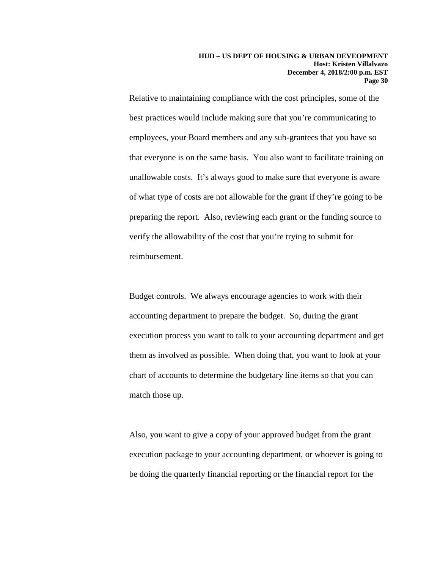Relative to maintaining compliance with the cost principles, some of the best practices would include making sure that you're communicating to employees, your Board members and any sub-grantees that you have so that everyone is on the same basis. You also want to facilitate training on unallowable costs. It's always good to make sure that everyone is aware of what type of costs are not allowable for the grant if they're going to be preparing the report. Also, reviewing each grant or the funding source to verify the allowability of the cost that you're trying to submit for reimbursement.

Budget controls. We always encourage agencies to work with their accounting department to prepare the budget. So, during the grant execution process you want to talk to your accounting department and get them as involved as possible. When doing that, you want to look at your chart of accounts to determine the budgetary line items so that you can match those up.

Also, you want to give a copy of your approved budget from the grant execution package to your accounting department, or whoever is going to be doing the quarterly financial reporting or the financial report for the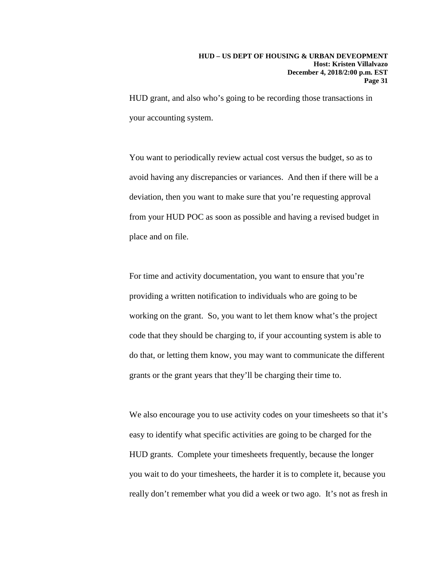HUD grant, and also who's going to be recording those transactions in your accounting system.

You want to periodically review actual cost versus the budget, so as to avoid having any discrepancies or variances. And then if there will be a deviation, then you want to make sure that you're requesting approval from your HUD POC as soon as possible and having a revised budget in place and on file.

For time and activity documentation, you want to ensure that you're providing a written notification to individuals who are going to be working on the grant. So, you want to let them know what's the project code that they should be charging to, if your accounting system is able to do that, or letting them know, you may want to communicate the different grants or the grant years that they'll be charging their time to.

We also encourage you to use activity codes on your timesheets so that it's easy to identify what specific activities are going to be charged for the HUD grants. Complete your timesheets frequently, because the longer you wait to do your timesheets, the harder it is to complete it, because you really don't remember what you did a week or two ago. It's not as fresh in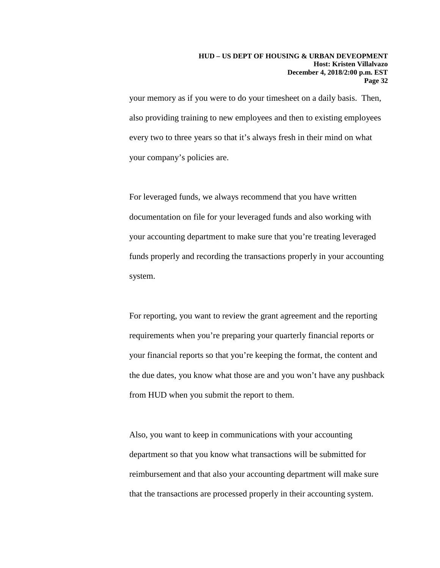your memory as if you were to do your timesheet on a daily basis. Then, also providing training to new employees and then to existing employees every two to three years so that it's always fresh in their mind on what your company's policies are.

For leveraged funds, we always recommend that you have written documentation on file for your leveraged funds and also working with your accounting department to make sure that you're treating leveraged funds properly and recording the transactions properly in your accounting system.

For reporting, you want to review the grant agreement and the reporting requirements when you're preparing your quarterly financial reports or your financial reports so that you're keeping the format, the content and the due dates, you know what those are and you won't have any pushback from HUD when you submit the report to them.

Also, you want to keep in communications with your accounting department so that you know what transactions will be submitted for reimbursement and that also your accounting department will make sure that the transactions are processed properly in their accounting system.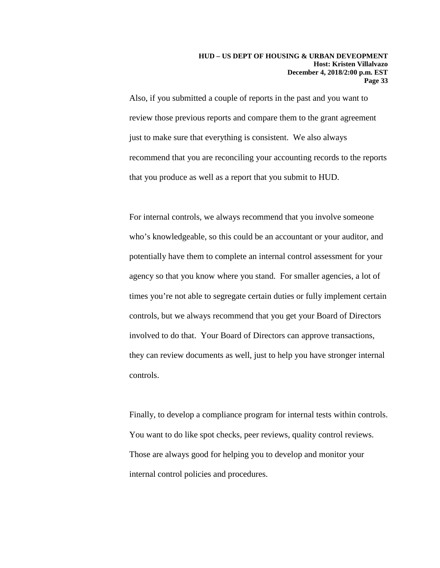Also, if you submitted a couple of reports in the past and you want to review those previous reports and compare them to the grant agreement just to make sure that everything is consistent. We also always recommend that you are reconciling your accounting records to the reports that you produce as well as a report that you submit to HUD.

For internal controls, we always recommend that you involve someone who's knowledgeable, so this could be an accountant or your auditor, and potentially have them to complete an internal control assessment for your agency so that you know where you stand. For smaller agencies, a lot of times you're not able to segregate certain duties or fully implement certain controls, but we always recommend that you get your Board of Directors involved to do that. Your Board of Directors can approve transactions, they can review documents as well, just to help you have stronger internal controls.

Finally, to develop a compliance program for internal tests within controls. You want to do like spot checks, peer reviews, quality control reviews. Those are always good for helping you to develop and monitor your internal control policies and procedures.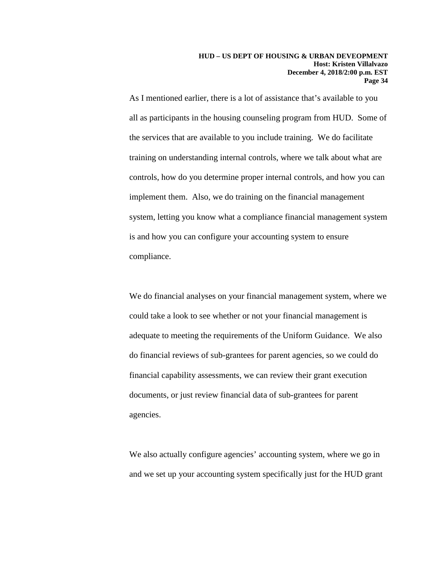As I mentioned earlier, there is a lot of assistance that's available to you all as participants in the housing counseling program from HUD. Some of the services that are available to you include training. We do facilitate training on understanding internal controls, where we talk about what are controls, how do you determine proper internal controls, and how you can implement them. Also, we do training on the financial management system, letting you know what a compliance financial management system is and how you can configure your accounting system to ensure compliance.

We do financial analyses on your financial management system, where we could take a look to see whether or not your financial management is adequate to meeting the requirements of the Uniform Guidance. We also do financial reviews of sub-grantees for parent agencies, so we could do financial capability assessments, we can review their grant execution documents, or just review financial data of sub-grantees for parent agencies.

We also actually configure agencies' accounting system, where we go in and we set up your accounting system specifically just for the HUD grant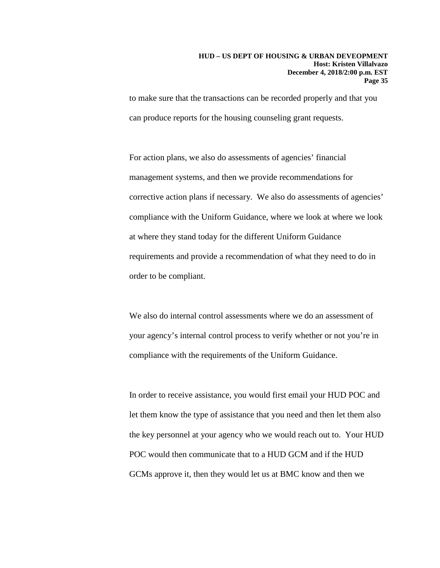to make sure that the transactions can be recorded properly and that you can produce reports for the housing counseling grant requests.

For action plans, we also do assessments of agencies' financial management systems, and then we provide recommendations for corrective action plans if necessary. We also do assessments of agencies' compliance with the Uniform Guidance, where we look at where we look at where they stand today for the different Uniform Guidance requirements and provide a recommendation of what they need to do in order to be compliant.

We also do internal control assessments where we do an assessment of your agency's internal control process to verify whether or not you're in compliance with the requirements of the Uniform Guidance.

In order to receive assistance, you would first email your HUD POC and let them know the type of assistance that you need and then let them also the key personnel at your agency who we would reach out to. Your HUD POC would then communicate that to a HUD GCM and if the HUD GCMs approve it, then they would let us at BMC know and then we